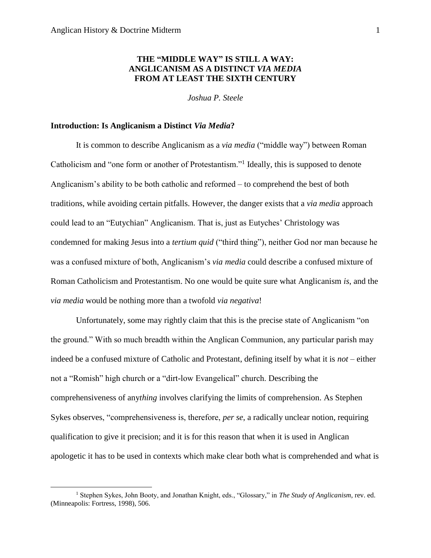$\overline{\phantom{a}}$ 

# **THE "MIDDLE WAY" IS STILL A WAY: ANGLICANISM AS A DISTINCT** *VIA MEDIA* **FROM AT LEAST THE SIXTH CENTURY**

*Joshua P. Steele*

#### **Introduction: Is Anglicanism a Distinct** *Via Media***?**

It is common to describe Anglicanism as a *via media* ("middle way") between Roman Catholicism and "one form or another of Protestantism."<sup>1</sup> Ideally, this is supposed to denote Anglicanism's ability to be both catholic and reformed – to comprehend the best of both traditions, while avoiding certain pitfalls. However, the danger exists that a *via media* approach could lead to an "Eutychian" Anglicanism. That is, just as Eutyches' Christology was condemned for making Jesus into a *tertium quid* ("third thing"), neither God nor man because he was a confused mixture of both, Anglicanism's *via media* could describe a confused mixture of Roman Catholicism and Protestantism. No one would be quite sure what Anglicanism *is*, and the *via media* would be nothing more than a twofold *via negativa*!

Unfortunately, some may rightly claim that this is the precise state of Anglicanism "on the ground." With so much breadth within the Anglican Communion, any particular parish may indeed be a confused mixture of Catholic and Protestant, defining itself by what it is *not* – either not a "Romish" high church or a "dirt-low Evangelical" church. Describing the comprehensiveness of any*thing* involves clarifying the limits of comprehension. As Stephen Sykes observes, "comprehensiveness is, therefore, *per se*, a radically unclear notion, requiring qualification to give it precision; and it is for this reason that when it is used in Anglican apologetic it has to be used in contexts which make clear both what is comprehended and what is

<sup>1</sup> Stephen Sykes, John Booty, and Jonathan Knight, eds., "Glossary," in *The Study of Anglicanism*, rev. ed. (Minneapolis: Fortress, 1998), 506.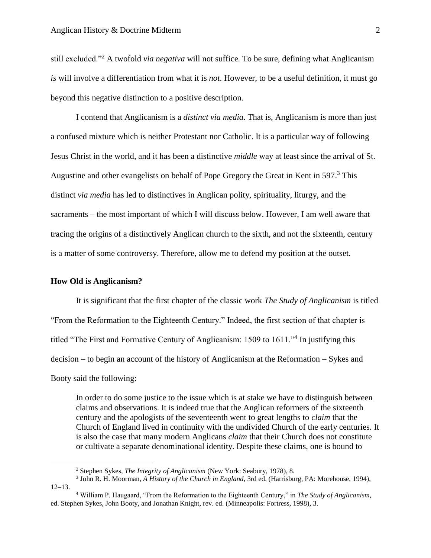still excluded."<sup>2</sup> A twofold *via negativa* will not suffice. To be sure, defining what Anglicanism *is* will involve a differentiation from what it is *not*. However, to be a useful definition, it must go beyond this negative distinction to a positive description.

I contend that Anglicanism is a *distinct via media*. That is, Anglicanism is more than just a confused mixture which is neither Protestant nor Catholic. It is a particular way of following Jesus Christ in the world, and it has been a distinctive *middle* way at least since the arrival of St. Augustine and other evangelists on behalf of Pope Gregory the Great in Kent in 597. <sup>3</sup> This distinct *via media* has led to distinctives in Anglican polity, spirituality, liturgy, and the sacraments – the most important of which I will discuss below. However, I am well aware that tracing the origins of a distinctively Anglican church to the sixth, and not the sixteenth, century is a matter of some controversy. Therefore, allow me to defend my position at the outset.

#### **How Old is Anglicanism?**

 $\overline{a}$ 

It is significant that the first chapter of the classic work *The Study of Anglicanism* is titled "From the Reformation to the Eighteenth Century." Indeed, the first section of that chapter is titled "The First and Formative Century of Anglicanism: 1509 to 1611."<sup>4</sup> In justifying this decision – to begin an account of the history of Anglicanism at the Reformation – Sykes and Booty said the following:

In order to do some justice to the issue which is at stake we have to distinguish between claims and observations. It is indeed true that the Anglican reformers of the sixteenth century and the apologists of the seventeenth went to great lengths to *claim* that the Church of England lived in continuity with the undivided Church of the early centuries. It is also the case that many modern Anglicans *claim* that their Church does not constitute or cultivate a separate denominational identity. Despite these claims, one is bound to

<sup>2</sup> Stephen Sykes, *The Integrity of Anglicanism* (New York: Seabury, 1978), 8.

<sup>3</sup> John R. H. Moorman, *A History of the Church in England*, 3rd ed. (Harrisburg, PA: Morehouse, 1994), 12–13.

<sup>4</sup> William P. Haugaard, "From the Reformation to the Eighteenth Century," in *The Study of Anglicanism*, ed. Stephen Sykes, John Booty, and Jonathan Knight, rev. ed. (Minneapolis: Fortress, 1998), 3.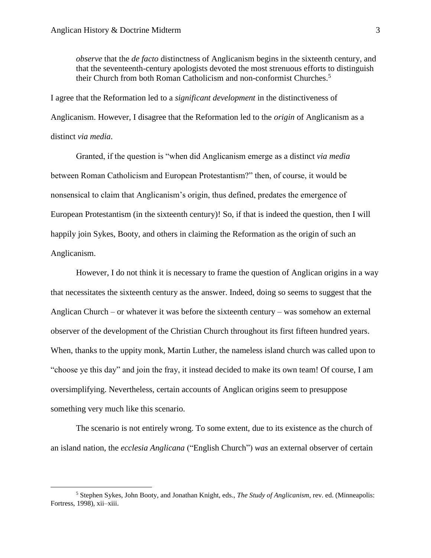$\overline{\phantom{a}}$ 

*observe* that the *de facto* distinctness of Anglicanism begins in the sixteenth century, and that the seventeenth-century apologists devoted the most strenuous efforts to distinguish their Church from both Roman Catholicism and non-conformist Churches.<sup>5</sup>

I agree that the Reformation led to a *significant development* in the distinctiveness of Anglicanism. However, I disagree that the Reformation led to the *origin* of Anglicanism as a distinct *via media*.

Granted, if the question is "when did Anglicanism emerge as a distinct *via media*  between Roman Catholicism and European Protestantism?" then, of course, it would be nonsensical to claim that Anglicanism's origin, thus defined, predates the emergence of European Protestantism (in the sixteenth century)! So, if that is indeed the question, then I will happily join Sykes, Booty, and others in claiming the Reformation as the origin of such an Anglicanism.

However, I do not think it is necessary to frame the question of Anglican origins in a way that necessitates the sixteenth century as the answer. Indeed, doing so seems to suggest that the Anglican Church – or whatever it was before the sixteenth century – was somehow an external observer of the development of the Christian Church throughout its first fifteen hundred years. When, thanks to the uppity monk, Martin Luther, the nameless island church was called upon to "choose ye this day" and join the fray, it instead decided to make its own team! Of course, I am oversimplifying. Nevertheless, certain accounts of Anglican origins seem to presuppose something very much like this scenario.

The scenario is not entirely wrong. To some extent, due to its existence as the church of an island nation, the *ecclesia Anglicana* ("English Church") *was* an external observer of certain

<sup>5</sup> Stephen Sykes, John Booty, and Jonathan Knight, eds., *The Study of Anglicanism*, rev. ed. (Minneapolis: Fortress, 1998), xii–xiii.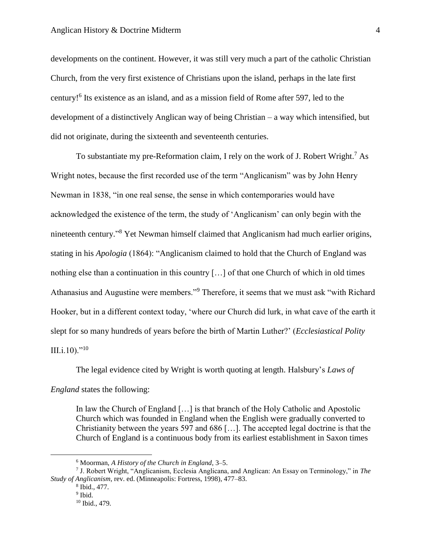developments on the continent. However, it was still very much a part of the catholic Christian Church, from the very first existence of Christians upon the island, perhaps in the late first century!<sup>6</sup> Its existence as an island, and as a mission field of Rome after 597, led to the development of a distinctively Anglican way of being Christian – a way which intensified, but did not originate, during the sixteenth and seventeenth centuries.

To substantiate my pre-Reformation claim, I rely on the work of J. Robert Wright.<sup>7</sup> As Wright notes, because the first recorded use of the term "Anglicanism" was by John Henry Newman in 1838, "in one real sense, the sense in which contemporaries would have acknowledged the existence of the term, the study of 'Anglicanism' can only begin with the nineteenth century." <sup>8</sup> Yet Newman himself claimed that Anglicanism had much earlier origins, stating in his *Apologia* (1864): "Anglicanism claimed to hold that the Church of England was nothing else than a continuation in this country […] of that one Church of which in old times Athanasius and Augustine were members."<sup>9</sup> Therefore, it seems that we must ask "with Richard Hooker, but in a different context today, 'where our Church did lurk, in what cave of the earth it slept for so many hundreds of years before the birth of Martin Luther?' (*Ecclesiastical Polity*   $III.i.10$ )."<sup>10</sup>

The legal evidence cited by Wright is worth quoting at length. Halsbury's *Laws of England* states the following:

In law the Church of England […] is that branch of the Holy Catholic and Apostolic Church which was founded in England when the English were gradually converted to Christianity between the years 597 and 686 […]. The accepted legal doctrine is that the Church of England is a continuous body from its earliest establishment in Saxon times

l

<sup>6</sup> Moorman, *A History of the Church in England*, 3–5.

<sup>7</sup> J. Robert Wright, "Anglicanism, Ecclesia Anglicana, and Anglican: An Essay on Terminology," in *The Study of Anglicanism*, rev. ed. (Minneapolis: Fortress, 1998), 477–83.

<sup>8</sup> Ibid., 477.

<sup>&</sup>lt;sup>9</sup> Ibid.

<sup>10</sup> Ibid., 479.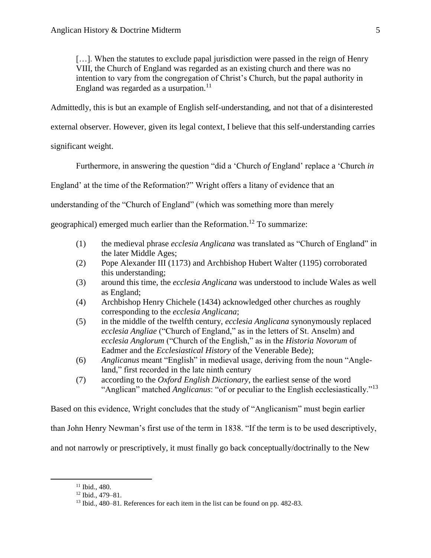[...]. When the statutes to exclude papal jurisdiction were passed in the reign of Henry VIII, the Church of England was regarded as an existing church and there was no intention to vary from the congregation of Christ's Church, but the papal authority in England was regarded as a usurpation. $11$ 

Admittedly, this is but an example of English self-understanding, and not that of a disinterested

external observer. However, given its legal context, I believe that this self-understanding carries

significant weight.

Furthermore, in answering the question "did a 'Church *of* England' replace a 'Church *in* 

England' at the time of the Reformation?" Wright offers a litany of evidence that an

understanding of the "Church of England" (which was something more than merely

geographical) emerged much earlier than the Reformation.<sup>12</sup> To summarize:

- (1) the medieval phrase *ecclesia Anglicana* was translated as "Church of England" in the later Middle Ages;
- (2) Pope Alexander III (1173) and Archbishop Hubert Walter (1195) corroborated this understanding;
- (3) around this time, the *ecclesia Anglicana* was understood to include Wales as well as England;
- (4) Archbishop Henry Chichele (1434) acknowledged other churches as roughly corresponding to the *ecclesia Anglicana*;
- (5) in the middle of the twelfth century, *ecclesia Anglicana* synonymously replaced *ecclesia Angliae* ("Church of England," as in the letters of St. Anselm) and *ecclesia Anglorum* ("Church of the English," as in the *Historia Novorum* of Eadmer and the *Ecclesiastical History* of the Venerable Bede);
- (6) *Anglicanus* meant "English" in medieval usage, deriving from the noun "Angleland," first recorded in the late ninth century
- (7) according to the *Oxford English Dictionary*, the earliest sense of the word "Anglican" matched *Anglicanus*: "of or peculiar to the English ecclesiastically."<sup>13</sup>

Based on this evidence, Wright concludes that the study of "Anglicanism" must begin earlier

than John Henry Newman's first use of the term in 1838. "If the term is to be used descriptively,

and not narrowly or prescriptively, it must finally go back conceptually/doctrinally to the New

<sup>11</sup> Ibid., 480.

<sup>12</sup> Ibid., 479–81.

<sup>13</sup> Ibid., 480–81. References for each item in the list can be found on pp. 482-83.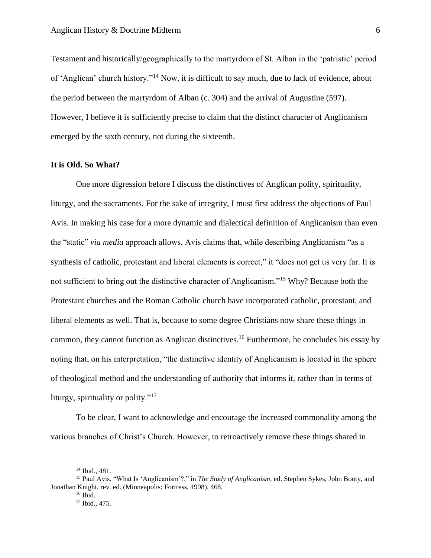Testament and historically/geographically to the martyrdom of St. Alban in the 'patristic' period of 'Anglican' church history."<sup>14</sup> Now, it is difficult to say much, due to lack of evidence, about the period between the martyrdom of Alban (c. 304) and the arrival of Augustine (597). However, I believe it is sufficiently precise to claim that the distinct character of Anglicanism emerged by the sixth century, not during the sixteenth.

## **It is Old. So What?**

One more digression before I discuss the distinctives of Anglican polity, spirituality, liturgy, and the sacraments. For the sake of integrity, I must first address the objections of Paul Avis. In making his case for a more dynamic and dialectical definition of Anglicanism than even the "static" *via media* approach allows, Avis claims that, while describing Anglicanism "as a synthesis of catholic, protestant and liberal elements is correct," it "does not get us very far. It is not sufficient to bring out the distinctive character of Anglicanism."<sup>15</sup> Why? Because both the Protestant churches and the Roman Catholic church have incorporated catholic, protestant, and liberal elements as well. That is, because to some degree Christians now share these things in common, they cannot function as Anglican distinctives. <sup>16</sup> Furthermore, he concludes his essay by noting that, on his interpretation, "the distinctive identity of Anglicanism is located in the sphere of theological method and the understanding of authority that informs it, rather than in terms of liturgy, spirituality or polity."<sup>17</sup>

To be clear, I want to acknowledge and encourage the increased commonality among the various branches of Christ's Church. However, to retroactively remove these things shared in

<sup>14</sup> Ibid., 481.

<sup>15</sup> Paul Avis, "What Is 'Anglicanism'?," in *The Study of Anglicanism*, ed. Stephen Sykes, John Booty, and Jonathan Knight, rev. ed. (Minneapolis: Fortress, 1998), 468.

 $16$  Ibid.

<sup>&</sup>lt;sup>17</sup> Ibid., 475.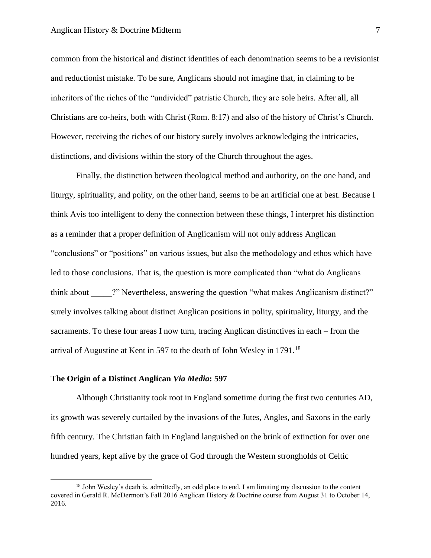common from the historical and distinct identities of each denomination seems to be a revisionist and reductionist mistake. To be sure, Anglicans should not imagine that, in claiming to be inheritors of the riches of the "undivided" patristic Church, they are sole heirs. After all, all Christians are co-heirs, both with Christ (Rom. 8:17) and also of the history of Christ's Church. However, receiving the riches of our history surely involves acknowledging the intricacies, distinctions, and divisions within the story of the Church throughout the ages.

Finally, the distinction between theological method and authority, on the one hand, and liturgy, spirituality, and polity, on the other hand, seems to be an artificial one at best. Because I think Avis too intelligent to deny the connection between these things, I interpret his distinction as a reminder that a proper definition of Anglicanism will not only address Anglican "conclusions" or "positions" on various issues, but also the methodology and ethos which have led to those conclusions. That is, the question is more complicated than "what do Anglicans think about <sup>2"</sup> Nevertheless, answering the question "what makes Anglicanism distinct?" surely involves talking about distinct Anglican positions in polity, spirituality, liturgy, and the sacraments. To these four areas I now turn, tracing Anglican distinctives in each – from the arrival of Augustine at Kent in 597 to the death of John Wesley in 1791.<sup>18</sup>

#### **The Origin of a Distinct Anglican** *Via Media***: 597**

 $\overline{\phantom{a}}$ 

Although Christianity took root in England sometime during the first two centuries AD, its growth was severely curtailed by the invasions of the Jutes, Angles, and Saxons in the early fifth century. The Christian faith in England languished on the brink of extinction for over one hundred years, kept alive by the grace of God through the Western strongholds of Celtic

<sup>&</sup>lt;sup>18</sup> John Wesley's death is, admittedly, an odd place to end. I am limiting my discussion to the content covered in Gerald R. McDermott's Fall 2016 Anglican History & Doctrine course from August 31 to October 14, 2016.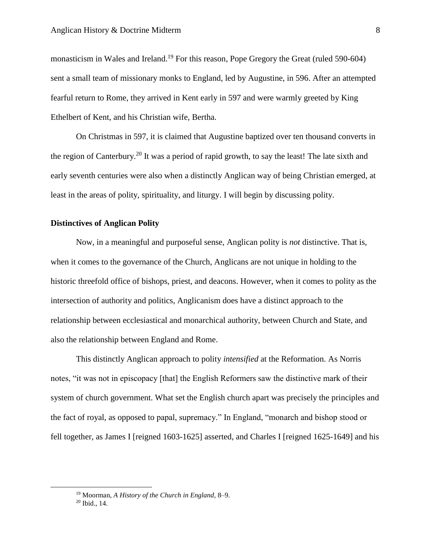monasticism in Wales and Ireland.<sup>19</sup> For this reason, Pope Gregory the Great (ruled 590-604) sent a small team of missionary monks to England, led by Augustine, in 596. After an attempted fearful return to Rome, they arrived in Kent early in 597 and were warmly greeted by King Ethelbert of Kent, and his Christian wife, Bertha.

On Christmas in 597, it is claimed that Augustine baptized over ten thousand converts in the region of Canterbury.<sup>20</sup> It was a period of rapid growth, to say the least! The late sixth and early seventh centuries were also when a distinctly Anglican way of being Christian emerged, at least in the areas of polity, spirituality, and liturgy. I will begin by discussing polity.

### **Distinctives of Anglican Polity**

Now, in a meaningful and purposeful sense, Anglican polity is *not* distinctive. That is, when it comes to the governance of the Church, Anglicans are not unique in holding to the historic threefold office of bishops, priest, and deacons. However, when it comes to polity as the intersection of authority and politics, Anglicanism does have a distinct approach to the relationship between ecclesiastical and monarchical authority, between Church and State, and also the relationship between England and Rome.

This distinctly Anglican approach to polity *intensified* at the Reformation. As Norris notes, "it was not in episcopacy [that] the English Reformers saw the distinctive mark of their system of church government. What set the English church apart was precisely the principles and the fact of royal, as opposed to papal, supremacy." In England, "monarch and bishop stood or fell together, as James I [reigned 1603-1625] asserted, and Charles I [reigned 1625-1649] and his

<sup>19</sup> Moorman, *A History of the Church in England*, 8–9.

<sup>20</sup> Ibid., 14.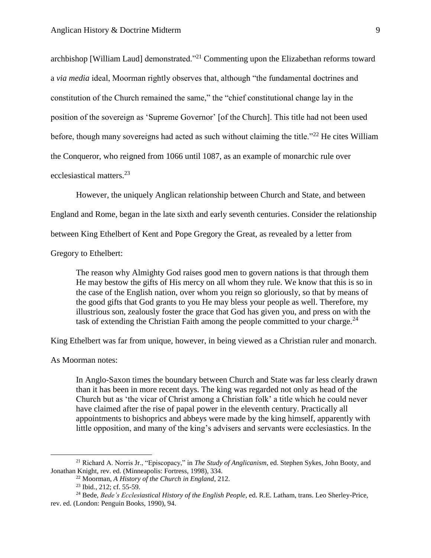archbishop [William Laud] demonstrated."<sup>21</sup> Commenting upon the Elizabethan reforms toward a *via media* ideal, Moorman rightly observes that, although "the fundamental doctrines and constitution of the Church remained the same," the "chief constitutional change lay in the position of the sovereign as 'Supreme Governor' [of the Church]. This title had not been used before, though many sovereigns had acted as such without claiming the title."<sup>22</sup> He cites William the Conqueror, who reigned from 1066 until 1087, as an example of monarchic rule over ecclesiastical matters.<sup>23</sup>

However, the uniquely Anglican relationship between Church and State, and between

England and Rome, began in the late sixth and early seventh centuries. Consider the relationship

between King Ethelbert of Kent and Pope Gregory the Great, as revealed by a letter from

Gregory to Ethelbert:

The reason why Almighty God raises good men to govern nations is that through them He may bestow the gifts of His mercy on all whom they rule. We know that this is so in the case of the English nation, over whom you reign so gloriously, so that by means of the good gifts that God grants to you He may bless your people as well. Therefore, my illustrious son, zealously foster the grace that God has given you, and press on with the task of extending the Christian Faith among the people committed to your charge.<sup>24</sup>

King Ethelbert was far from unique, however, in being viewed as a Christian ruler and monarch.

As Moorman notes:

l

In Anglo-Saxon times the boundary between Church and State was far less clearly drawn than it has been in more recent days. The king was regarded not only as head of the Church but as 'the vicar of Christ among a Christian folk' a title which he could never have claimed after the rise of papal power in the eleventh century. Practically all appointments to bishoprics and abbeys were made by the king himself, apparently with little opposition, and many of the king's advisers and servants were ecclesiastics. In the

<sup>21</sup> Richard A. Norris Jr., "Episcopacy," in *The Study of Anglicanism*, ed. Stephen Sykes, John Booty, and Jonathan Knight, rev. ed. (Minneapolis: Fortress, 1998), 334.

<sup>22</sup> Moorman, *A History of the Church in England*, 212.

<sup>23</sup> Ibid., 212; cf. 55-59.

<sup>24</sup> Bede, *Bede's Ecclesiastical History of the English People*, ed. R.E. Latham, trans. Leo Sherley-Price, rev. ed. (London: Penguin Books, 1990), 94.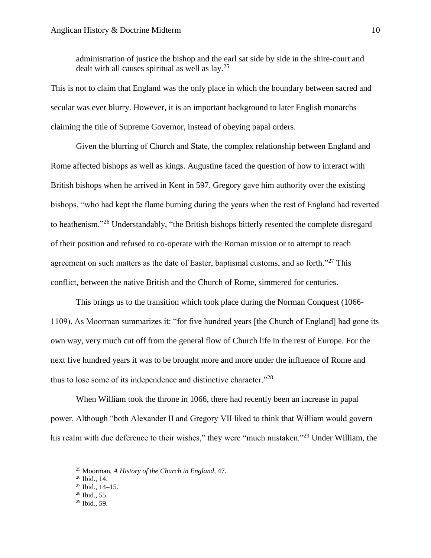administration of justice the bishop and the earl sat side by side in the shire-court and dealt with all causes spiritual as well as  $\text{lay.}^{25}$ 

This is not to claim that England was the only place in which the boundary between sacred and secular was ever blurry. However, it is an important background to later English monarchs claiming the title of Supreme Governor, instead of obeying papal orders.

Given the blurring of Church and State, the complex relationship between England and Rome affected bishops as well as kings. Augustine faced the question of how to interact with British bishops when he arrived in Kent in 597. Gregory gave him authority over the existing bishops, "who had kept the flame burning during the years when the rest of England had reverted to heathenism."<sup>26</sup> Understandably, "the British bishops bitterly resented the complete disregard of their position and refused to co-operate with the Roman mission or to attempt to reach agreement on such matters as the date of Easter, baptismal customs, and so forth."<sup>27</sup> This conflict, between the native British and the Church of Rome, simmered for centuries.

This brings us to the transition which took place during the Norman Conquest (1066- 1109). As Moorman summarizes it: "for five hundred years [the Church of England] had gone its own way, very much cut off from the general flow of Church life in the rest of Europe. For the next five hundred years it was to be brought more and more under the influence of Rome and thus to lose some of its independence and distinctive character."<sup>28</sup>

When William took the throne in 1066, there had recently been an increase in papal power. Although "both Alexander II and Gregory VII liked to think that William would govern his realm with due deference to their wishes," they were "much mistaken."<sup>29</sup> Under William, the

<sup>25</sup> Moorman, *A History of the Church in England*, 47.

<sup>26</sup> Ibid., 14.

<sup>27</sup> Ibid., 14–15.

<sup>28</sup> Ibid., 55.

<sup>29</sup> Ibid., 59.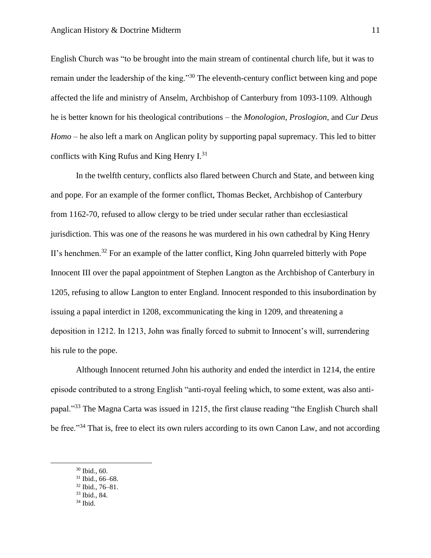English Church was "to be brought into the main stream of continental church life, but it was to remain under the leadership of the king."<sup>30</sup> The eleventh-century conflict between king and pope affected the life and ministry of Anselm, Archbishop of Canterbury from 1093-1109. Although he is better known for his theological contributions – the *Monologion*, *Proslogion*, and *Cur Deus Homo* – he also left a mark on Anglican polity by supporting papal supremacy. This led to bitter conflicts with King Rufus and King Henry I.<sup>31</sup>

In the twelfth century, conflicts also flared between Church and State, and between king and pope. For an example of the former conflict, Thomas Becket, Archbishop of Canterbury from 1162-70, refused to allow clergy to be tried under secular rather than ecclesiastical jurisdiction. This was one of the reasons he was murdered in his own cathedral by King Henry II's henchmen.<sup>32</sup> For an example of the latter conflict, King John quarreled bitterly with Pope Innocent III over the papal appointment of Stephen Langton as the Archbishop of Canterbury in 1205, refusing to allow Langton to enter England. Innocent responded to this insubordination by issuing a papal interdict in 1208, excommunicating the king in 1209, and threatening a deposition in 1212. In 1213, John was finally forced to submit to Innocent's will, surrendering his rule to the pope.

Although Innocent returned John his authority and ended the interdict in 1214, the entire episode contributed to a strong English "anti-royal feeling which, to some extent, was also antipapal."<sup>33</sup> The Magna Carta was issued in 1215, the first clause reading "the English Church shall be free."<sup>34</sup> That is, free to elect its own rulers according to its own Canon Law, and not according

 $\overline{a}$ 

<sup>34</sup> Ibid.

<sup>30</sup> Ibid., 60.

 $31$  Ibid., 66–68.

<sup>32</sup> Ibid., 76–81.

<sup>33</sup> Ibid., 84.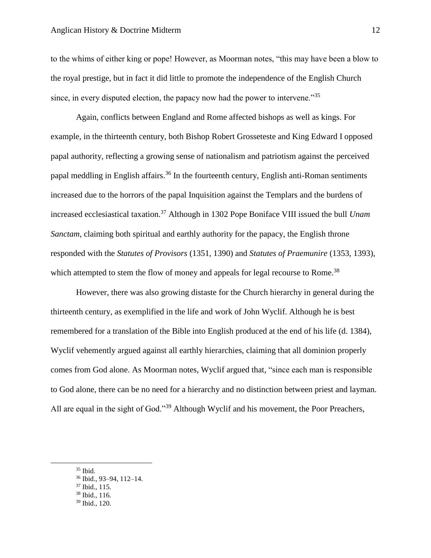to the whims of either king or pope! However, as Moorman notes, "this may have been a blow to the royal prestige, but in fact it did little to promote the independence of the English Church since, in every disputed election, the papacy now had the power to intervene.<sup>35</sup>

Again, conflicts between England and Rome affected bishops as well as kings. For example, in the thirteenth century, both Bishop Robert Grosseteste and King Edward I opposed papal authority, reflecting a growing sense of nationalism and patriotism against the perceived papal meddling in English affairs.<sup>36</sup> In the fourteenth century, English anti-Roman sentiments increased due to the horrors of the papal Inquisition against the Templars and the burdens of increased ecclesiastical taxation.<sup>37</sup> Although in 1302 Pope Boniface VIII issued the bull *Unam Sanctam*, claiming both spiritual and earthly authority for the papacy, the English throne responded with the *Statutes of Provisors* (1351, 1390) and *Statutes of Praemunire* (1353, 1393), which attempted to stem the flow of money and appeals for legal recourse to Rome.<sup>38</sup>

However, there was also growing distaste for the Church hierarchy in general during the thirteenth century, as exemplified in the life and work of John Wyclif. Although he is best remembered for a translation of the Bible into English produced at the end of his life (d. 1384), Wyclif vehemently argued against all earthly hierarchies, claiming that all dominion properly comes from God alone. As Moorman notes, Wyclif argued that, "since each man is responsible to God alone, there can be no need for a hierarchy and no distinction between priest and layman. All are equal in the sight of God."<sup>39</sup> Although Wyclif and his movement, the Poor Preachers,

- <sup>37</sup> Ibid., 115.
- <sup>38</sup> Ibid., 116.
- <sup>39</sup> Ibid., 120.

<sup>35</sup> Ibid.

<sup>36</sup> Ibid., 93–94, 112–14.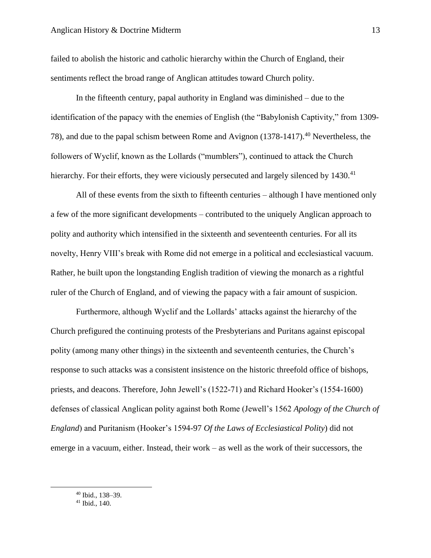failed to abolish the historic and catholic hierarchy within the Church of England, their sentiments reflect the broad range of Anglican attitudes toward Church polity.

In the fifteenth century, papal authority in England was diminished – due to the identification of the papacy with the enemies of English (the "Babylonish Captivity," from 1309- 78), and due to the papal schism between Rome and Avignon (1378-1417).<sup>40</sup> Nevertheless, the followers of Wyclif, known as the Lollards ("mumblers"), continued to attack the Church hierarchy. For their efforts, they were viciously persecuted and largely silenced by 1430.<sup>41</sup>

All of these events from the sixth to fifteenth centuries – although I have mentioned only a few of the more significant developments – contributed to the uniquely Anglican approach to polity and authority which intensified in the sixteenth and seventeenth centuries. For all its novelty, Henry VIII's break with Rome did not emerge in a political and ecclesiastical vacuum. Rather, he built upon the longstanding English tradition of viewing the monarch as a rightful ruler of the Church of England, and of viewing the papacy with a fair amount of suspicion.

Furthermore, although Wyclif and the Lollards' attacks against the hierarchy of the Church prefigured the continuing protests of the Presbyterians and Puritans against episcopal polity (among many other things) in the sixteenth and seventeenth centuries, the Church's response to such attacks was a consistent insistence on the historic threefold office of bishops, priests, and deacons. Therefore, John Jewell's (1522-71) and Richard Hooker's (1554-1600) defenses of classical Anglican polity against both Rome (Jewell's 1562 *Apology of the Church of England*) and Puritanism (Hooker's 1594-97 *Of the Laws of Ecclesiastical Polity*) did not emerge in a vacuum, either. Instead, their work – as well as the work of their successors, the

<sup>40</sup> Ibid., 138–39.

<sup>41</sup> Ibid., 140.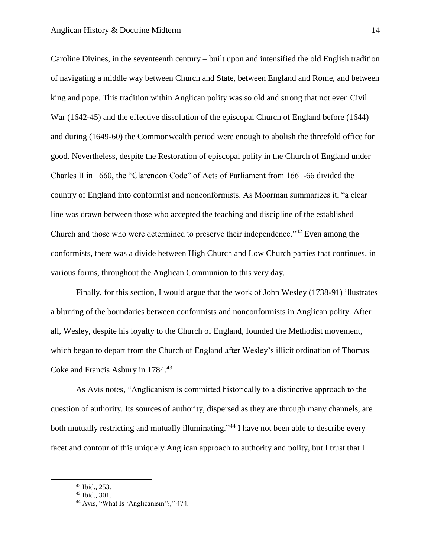Caroline Divines, in the seventeenth century – built upon and intensified the old English tradition of navigating a middle way between Church and State, between England and Rome, and between king and pope. This tradition within Anglican polity was so old and strong that not even Civil War (1642-45) and the effective dissolution of the episcopal Church of England before (1644) and during (1649-60) the Commonwealth period were enough to abolish the threefold office for good. Nevertheless, despite the Restoration of episcopal polity in the Church of England under Charles II in 1660, the "Clarendon Code" of Acts of Parliament from 1661-66 divided the country of England into conformist and nonconformists. As Moorman summarizes it, "a clear line was drawn between those who accepted the teaching and discipline of the established Church and those who were determined to preserve their independence."<sup>42</sup> Even among the conformists, there was a divide between High Church and Low Church parties that continues, in various forms, throughout the Anglican Communion to this very day.

Finally, for this section, I would argue that the work of John Wesley (1738-91) illustrates a blurring of the boundaries between conformists and nonconformists in Anglican polity. After all, Wesley, despite his loyalty to the Church of England, founded the Methodist movement, which began to depart from the Church of England after Wesley's illicit ordination of Thomas Coke and Francis Asbury in 1784.<sup>43</sup>

As Avis notes, "Anglicanism is committed historically to a distinctive approach to the question of authority. Its sources of authority, dispersed as they are through many channels, are both mutually restricting and mutually illuminating."<sup>44</sup> I have not been able to describe every facet and contour of this uniquely Anglican approach to authority and polity, but I trust that I

<sup>42</sup> Ibid., 253.

<sup>43</sup> Ibid., 301.

<sup>44</sup> Avis, "What Is 'Anglicanism'?," 474.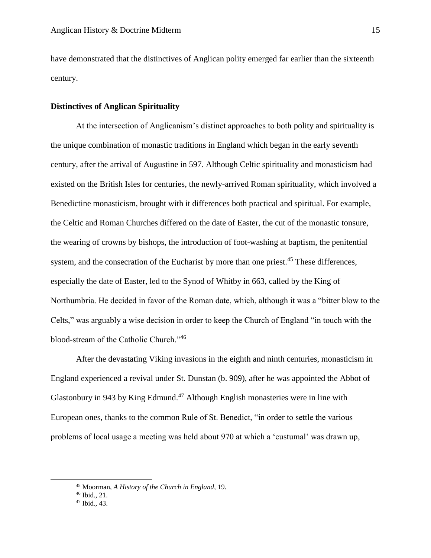have demonstrated that the distinctives of Anglican polity emerged far earlier than the sixteenth century.

# **Distinctives of Anglican Spirituality**

At the intersection of Anglicanism's distinct approaches to both polity and spirituality is the unique combination of monastic traditions in England which began in the early seventh century, after the arrival of Augustine in 597. Although Celtic spirituality and monasticism had existed on the British Isles for centuries, the newly-arrived Roman spirituality, which involved a Benedictine monasticism, brought with it differences both practical and spiritual. For example, the Celtic and Roman Churches differed on the date of Easter, the cut of the monastic tonsure, the wearing of crowns by bishops, the introduction of foot-washing at baptism, the penitential system, and the consecration of the Eucharist by more than one priest.<sup>45</sup> These differences, especially the date of Easter, led to the Synod of Whitby in 663, called by the King of Northumbria. He decided in favor of the Roman date, which, although it was a "bitter blow to the Celts," was arguably a wise decision in order to keep the Church of England "in touch with the blood-stream of the Catholic Church."<sup>46</sup>

After the devastating Viking invasions in the eighth and ninth centuries, monasticism in England experienced a revival under St. Dunstan (b. 909), after he was appointed the Abbot of Glastonbury in 943 by King Edmund.<sup>47</sup> Although English monasteries were in line with European ones, thanks to the common Rule of St. Benedict, "in order to settle the various problems of local usage a meeting was held about 970 at which a 'custumal' was drawn up,

<sup>45</sup> Moorman, *A History of the Church in England*, 19.

<sup>46</sup> Ibid., 21.

<sup>47</sup> Ibid., 43.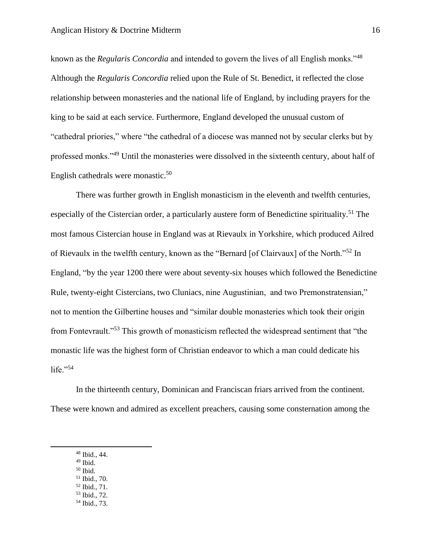known as the *Regularis Concordia* and intended to govern the lives of all English monks."<sup>48</sup> Although the *Regularis Concordia* relied upon the Rule of St. Benedict, it reflected the close relationship between monasteries and the national life of England, by including prayers for the king to be said at each service. Furthermore, England developed the unusual custom of "cathedral priories," where "the cathedral of a diocese was manned not by secular clerks but by professed monks."<sup>49</sup> Until the monasteries were dissolved in the sixteenth century, about half of English cathedrals were monastic.<sup>50</sup>

There was further growth in English monasticism in the eleventh and twelfth centuries, especially of the Cistercian order, a particularly austere form of Benedictine spirituality.<sup>51</sup> The most famous Cistercian house in England was at Rievaulx in Yorkshire, which produced Ailred of Rievaulx in the twelfth century, known as the "Bernard [of Clairvaux] of the North."<sup>52</sup> In England, "by the year 1200 there were about seventy-six houses which followed the Benedictine Rule, twenty-eight Cistercians, two Cluniacs, nine Augustinian, and two Premonstratensian," not to mention the Gilbertine houses and "similar double monasteries which took their origin from Fontevrault."<sup>53</sup> This growth of monasticism reflected the widespread sentiment that "the monastic life was the highest form of Christian endeavor to which a man could dedicate his life." $54$ 

In the thirteenth century, Dominican and Franciscan friars arrived from the continent. These were known and admired as excellent preachers, causing some consternation among the

 $49$  Ibid.

- $50$  Ibid. <sup>51</sup> Ibid., 70.
- <sup>52</sup> Ibid., 71.
- <sup>53</sup> Ibid., 72.
- <sup>54</sup> Ibid., 73.

<sup>48</sup> Ibid., 44.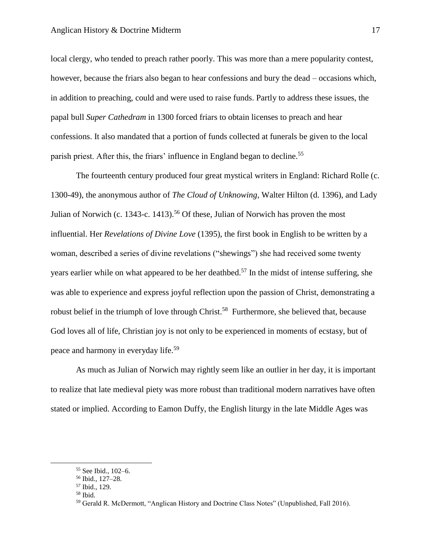local clergy, who tended to preach rather poorly. This was more than a mere popularity contest, however, because the friars also began to hear confessions and bury the dead – occasions which, in addition to preaching, could and were used to raise funds. Partly to address these issues, the papal bull *Super Cathedram* in 1300 forced friars to obtain licenses to preach and hear confessions. It also mandated that a portion of funds collected at funerals be given to the local parish priest. After this, the friars' influence in England began to decline.<sup>55</sup>

The fourteenth century produced four great mystical writers in England: Richard Rolle (c. 1300-49), the anonymous author of *The Cloud of Unknowing*, Walter Hilton (d. 1396), and Lady Julian of Norwich (c. 1343-c. 1413).<sup>56</sup> Of these, Julian of Norwich has proven the most influential. Her *Revelations of Divine Love* (1395), the first book in English to be written by a woman, described a series of divine revelations ("shewings") she had received some twenty years earlier while on what appeared to be her deathbed.<sup>57</sup> In the midst of intense suffering, she was able to experience and express joyful reflection upon the passion of Christ, demonstrating a robust belief in the triumph of love through Christ.<sup>58</sup> Furthermore, she believed that, because God loves all of life, Christian joy is not only to be experienced in moments of ecstasy, but of peace and harmony in everyday life.<sup>59</sup>

As much as Julian of Norwich may rightly seem like an outlier in her day, it is important to realize that late medieval piety was more robust than traditional modern narratives have often stated or implied. According to Eamon Duffy, the English liturgy in the late Middle Ages was

<sup>55</sup> See Ibid., 102–6.

<sup>56</sup> Ibid., 127–28.

<sup>57</sup> Ibid., 129.

<sup>58</sup> Ibid.

<sup>59</sup> Gerald R. McDermott, "Anglican History and Doctrine Class Notes" (Unpublished, Fall 2016).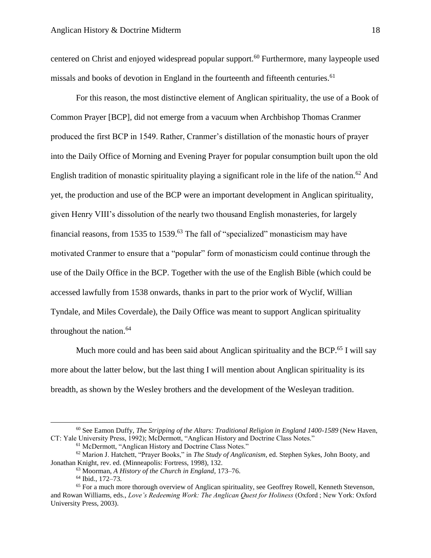centered on Christ and enjoyed widespread popular support.<sup>60</sup> Furthermore, many laypeople used missals and books of devotion in England in the fourteenth and fifteenth centuries.<sup>61</sup>

For this reason, the most distinctive element of Anglican spirituality, the use of a Book of Common Prayer [BCP], did not emerge from a vacuum when Archbishop Thomas Cranmer produced the first BCP in 1549. Rather, Cranmer's distillation of the monastic hours of prayer into the Daily Office of Morning and Evening Prayer for popular consumption built upon the old English tradition of monastic spirituality playing a significant role in the life of the nation.<sup>62</sup> And yet, the production and use of the BCP were an important development in Anglican spirituality, given Henry VIII's dissolution of the nearly two thousand English monasteries, for largely financial reasons, from 1535 to 1539.<sup>63</sup> The fall of "specialized" monasticism may have motivated Cranmer to ensure that a "popular" form of monasticism could continue through the use of the Daily Office in the BCP. Together with the use of the English Bible (which could be accessed lawfully from 1538 onwards, thanks in part to the prior work of Wyclif, Willian Tyndale, and Miles Coverdale), the Daily Office was meant to support Anglican spirituality throughout the nation. $64$ 

Much more could and has been said about Anglican spirituality and the BCP.<sup>65</sup> I will say more about the latter below, but the last thing I will mention about Anglican spirituality is its breadth, as shown by the Wesley brothers and the development of the Wesleyan tradition.

<sup>60</sup> See Eamon Duffy, *The Stripping of the Altars: Traditional Religion in England 1400-1589* (New Haven, CT: Yale University Press, 1992); McDermott, "Anglican History and Doctrine Class Notes."

<sup>61</sup> McDermott, "Anglican History and Doctrine Class Notes."

<sup>62</sup> Marion J. Hatchett, "Prayer Books," in *The Study of Anglicanism*, ed. Stephen Sykes, John Booty, and Jonathan Knight, rev. ed. (Minneapolis: Fortress, 1998), 132.

<sup>63</sup> Moorman, *A History of the Church in England*, 173–76.

<sup>64</sup> Ibid., 172–73.

<sup>&</sup>lt;sup>65</sup> For a much more thorough overview of Anglican spirituality, see Geoffrey Rowell, Kenneth Stevenson, and Rowan Williams, eds., *Love's Redeeming Work: The Anglican Quest for Holiness* (Oxford ; New York: Oxford University Press, 2003).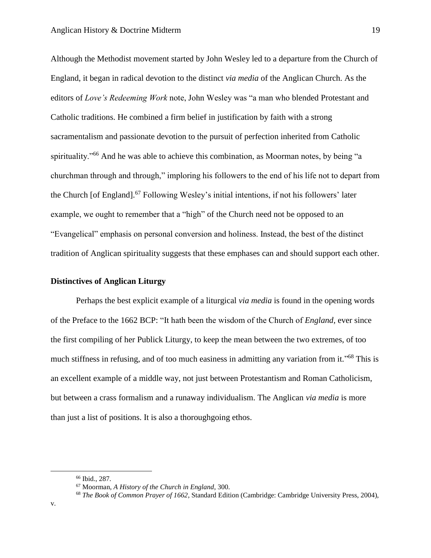Although the Methodist movement started by John Wesley led to a departure from the Church of England, it began in radical devotion to the distinct *via media* of the Anglican Church. As the editors of *Love's Redeeming Work* note, John Wesley was "a man who blended Protestant and Catholic traditions. He combined a firm belief in justification by faith with a strong sacramentalism and passionate devotion to the pursuit of perfection inherited from Catholic spirituality."<sup>66</sup> And he was able to achieve this combination, as Moorman notes, by being "a churchman through and through," imploring his followers to the end of his life not to depart from the Church [of England].<sup>67</sup> Following Wesley's initial intentions, if not his followers' later example, we ought to remember that a "high" of the Church need not be opposed to an "Evangelical" emphasis on personal conversion and holiness. Instead, the best of the distinct tradition of Anglican spirituality suggests that these emphases can and should support each other.

### **Distinctives of Anglican Liturgy**

Perhaps the best explicit example of a liturgical *via media* is found in the opening words of the Preface to the 1662 BCP: "It hath been the wisdom of the Church of *England*, ever since the first compiling of her Publick Liturgy, to keep the mean between the two extremes, of too much stiffness in refusing, and of too much easiness in admitting any variation from it."<sup>68</sup> This is an excellent example of a middle way, not just between Protestantism and Roman Catholicism, but between a crass formalism and a runaway individualism. The Anglican *via media* is more than just a list of positions. It is also a thoroughgoing ethos.

<sup>66</sup> Ibid., 287.

<sup>67</sup> Moorman, *A History of the Church in England*, 300.

<sup>68</sup> *The Book of Common Prayer of 1662*, Standard Edition (Cambridge: Cambridge University Press, 2004),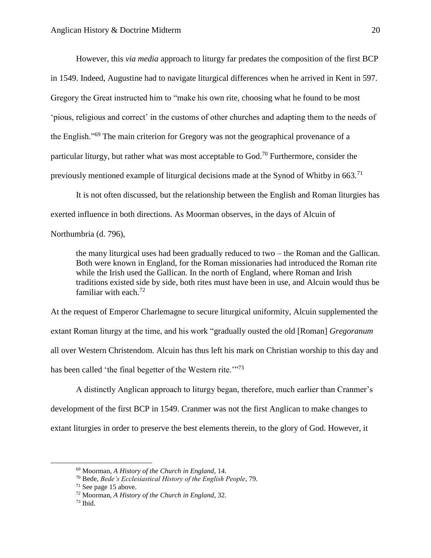However, this *via media* approach to liturgy far predates the composition of the first BCP in 1549. Indeed, Augustine had to navigate liturgical differences when he arrived in Kent in 597. Gregory the Great instructed him to "make his own rite, choosing what he found to be most 'pious, religious and correct' in the customs of other churches and adapting them to the needs of the English."<sup>69</sup> The main criterion for Gregory was not the geographical provenance of a particular liturgy, but rather what was most acceptable to God.<sup>70</sup> Furthermore, consider the previously mentioned example of liturgical decisions made at the Synod of Whitby in 663.<sup>71</sup>

It is not often discussed, but the relationship between the English and Roman liturgies has exerted influence in both directions. As Moorman observes, in the days of Alcuin of

Northumbria (d. 796),

the many liturgical uses had been gradually reduced to two – the Roman and the Gallican. Both were known in England, for the Roman missionaries had introduced the Roman rite while the Irish used the Gallican. In the north of England, where Roman and Irish traditions existed side by side, both rites must have been in use, and Alcuin would thus be familiar with each  $72$ 

At the request of Emperor Charlemagne to secure liturgical uniformity, Alcuin supplemented the extant Roman liturgy at the time, and his work "gradually ousted the old [Roman] *Gregoranum* all over Western Christendom. Alcuin has thus left his mark on Christian worship to this day and has been called 'the final begetter of the Western rite.'"<sup>73</sup>

A distinctly Anglican approach to liturgy began, therefore, much earlier than Cranmer's development of the first BCP in 1549. Cranmer was not the first Anglican to make changes to extant liturgies in order to preserve the best elements therein, to the glory of God. However, it

<sup>69</sup> Moorman, *A History of the Church in England*, 14.

<sup>70</sup> Bede, *Bede's Ecclesiastical History of the English People*, 79.

 $71$  See page 15 above.

<sup>72</sup> Moorman, *A History of the Church in England*, 32.

 $73$  Ibid.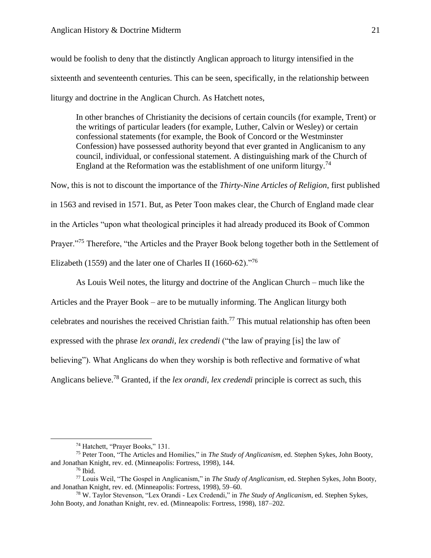would be foolish to deny that the distinctly Anglican approach to liturgy intensified in the sixteenth and seventeenth centuries. This can be seen, specifically, in the relationship between liturgy and doctrine in the Anglican Church. As Hatchett notes,

In other branches of Christianity the decisions of certain councils (for example, Trent) or the writings of particular leaders (for example, Luther, Calvin or Wesley) or certain confessional statements (for example, the Book of Concord or the Westminster Confession) have possessed authority beyond that ever granted in Anglicanism to any council, individual, or confessional statement. A distinguishing mark of the Church of England at the Reformation was the establishment of one uniform liturgy.<sup>74</sup>

Now, this is not to discount the importance of the *Thirty-Nine Articles of Religion*, first published in 1563 and revised in 1571. But, as Peter Toon makes clear, the Church of England made clear in the Articles "upon what theological principles it had already produced its Book of Common Prayer."<sup>75</sup> Therefore, "the Articles and the Prayer Book belong together both in the Settlement of Elizabeth (1559) and the later one of Charles II (1660-62)."<sup>76</sup>

As Louis Weil notes, the liturgy and doctrine of the Anglican Church – much like the Articles and the Prayer Book – are to be mutually informing. The Anglican liturgy both celebrates and nourishes the received Christian faith.<sup>77</sup> This mutual relationship has often been expressed with the phrase *lex orandi, lex credendi* ("the law of praying [is] the law of believing"). What Anglicans do when they worship is both reflective and formative of what Anglicans believe.<sup>78</sup> Granted, if the *lex orandi, lex credendi* principle is correct as such, this

<sup>74</sup> Hatchett, "Prayer Books," 131.

<sup>75</sup> Peter Toon, "The Articles and Homilies," in *The Study of Anglicanism*, ed. Stephen Sykes, John Booty, and Jonathan Knight, rev. ed. (Minneapolis: Fortress, 1998), 144.

 $76$  Ibid.

<sup>77</sup> Louis Weil, "The Gospel in Anglicanism," in *The Study of Anglicanism*, ed. Stephen Sykes, John Booty, and Jonathan Knight, rev. ed. (Minneapolis: Fortress, 1998), 59–60.

<sup>78</sup> W. Taylor Stevenson, "Lex Orandi - Lex Credendi," in *The Study of Anglicanism*, ed. Stephen Sykes, John Booty, and Jonathan Knight, rev. ed. (Minneapolis: Fortress, 1998), 187–202.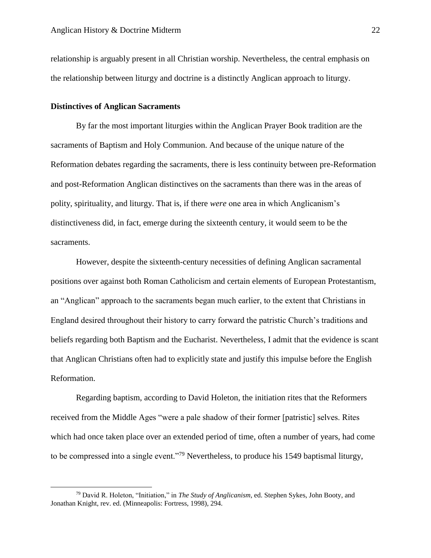relationship is arguably present in all Christian worship. Nevertheless, the central emphasis on the relationship between liturgy and doctrine is a distinctly Anglican approach to liturgy.

#### **Distinctives of Anglican Sacraments**

 $\overline{\phantom{a}}$ 

By far the most important liturgies within the Anglican Prayer Book tradition are the sacraments of Baptism and Holy Communion. And because of the unique nature of the Reformation debates regarding the sacraments, there is less continuity between pre-Reformation and post-Reformation Anglican distinctives on the sacraments than there was in the areas of polity, spirituality, and liturgy. That is, if there *were* one area in which Anglicanism's distinctiveness did, in fact, emerge during the sixteenth century, it would seem to be the sacraments.

However, despite the sixteenth-century necessities of defining Anglican sacramental positions over against both Roman Catholicism and certain elements of European Protestantism, an "Anglican" approach to the sacraments began much earlier, to the extent that Christians in England desired throughout their history to carry forward the patristic Church's traditions and beliefs regarding both Baptism and the Eucharist. Nevertheless, I admit that the evidence is scant that Anglican Christians often had to explicitly state and justify this impulse before the English Reformation.

Regarding baptism, according to David Holeton, the initiation rites that the Reformers received from the Middle Ages "were a pale shadow of their former [patristic] selves. Rites which had once taken place over an extended period of time, often a number of years, had come to be compressed into a single event."<sup>79</sup> Nevertheless, to produce his 1549 baptismal liturgy,

<sup>79</sup> David R. Holeton, "Initiation," in *The Study of Anglicanism*, ed. Stephen Sykes, John Booty, and Jonathan Knight, rev. ed. (Minneapolis: Fortress, 1998), 294.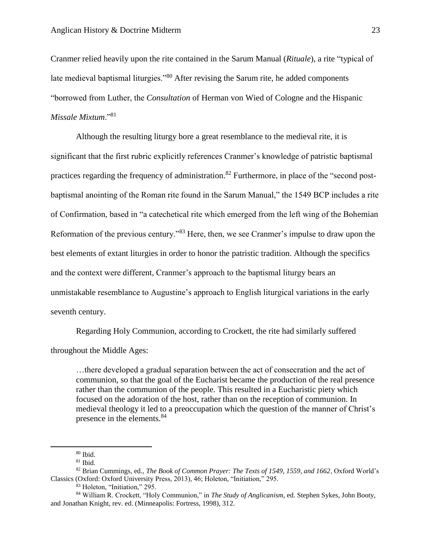Cranmer relied heavily upon the rite contained in the Sarum Manual (*Rituale*), a rite "typical of late medieval baptismal liturgies."<sup>80</sup> After revising the Sarum rite, he added components "borrowed from Luther, the *Consultation* of Herman von Wied of Cologne and the Hispanic *Missale Mixtum*."<sup>81</sup>

Although the resulting liturgy bore a great resemblance to the medieval rite, it is significant that the first rubric explicitly references Cranmer's knowledge of patristic baptismal practices regarding the frequency of administration.<sup>82</sup> Furthermore, in place of the "second postbaptismal anointing of the Roman rite found in the Sarum Manual," the 1549 BCP includes a rite of Confirmation, based in "a catechetical rite which emerged from the left wing of the Bohemian Reformation of the previous century."<sup>83</sup> Here, then, we see Cranmer's impulse to draw upon the best elements of extant liturgies in order to honor the patristic tradition. Although the specifics and the context were different, Cranmer's approach to the baptismal liturgy bears an unmistakable resemblance to Augustine's approach to English liturgical variations in the early seventh century.

Regarding Holy Communion, according to Crockett, the rite had similarly suffered throughout the Middle Ages:

…there developed a gradual separation between the act of consecration and the act of communion, so that the goal of the Eucharist became the production of the real presence rather than the communion of the people. This resulted in a Eucharistic piety which focused on the adoration of the host, rather than on the reception of communion. In medieval theology it led to a preoccupation which the question of the manner of Christ's presence in the elements.<sup>84</sup>

 $\overline{\phantom{a}}$ 

<sup>83</sup> Holeton, "Initiation," 295.

 $80$  Ibid.

 $81$  Ibid.

<sup>82</sup> Brian Cummings, ed., *The Book of Common Prayer: The Texts of 1549, 1559, and 1662*, Oxford World's Classics (Oxford: Oxford University Press, 2013), 46; Holeton, "Initiation," 295.

<sup>84</sup> William R. Crockett, "Holy Communion," in *The Study of Anglicanism*, ed. Stephen Sykes, John Booty, and Jonathan Knight, rev. ed. (Minneapolis: Fortress, 1998), 312.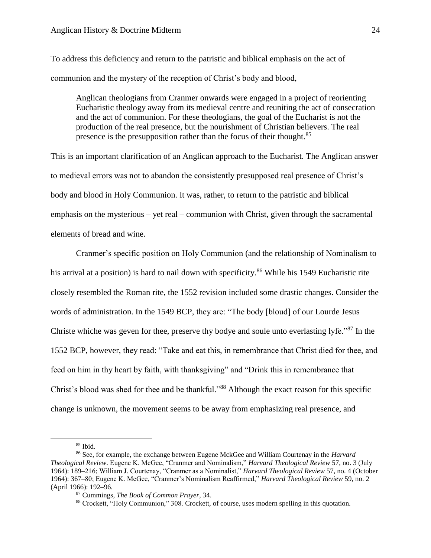To address this deficiency and return to the patristic and biblical emphasis on the act of communion and the mystery of the reception of Christ's body and blood,

Anglican theologians from Cranmer onwards were engaged in a project of reorienting Eucharistic theology away from its medieval centre and reuniting the act of consecration and the act of communion. For these theologians, the goal of the Eucharist is not the production of the real presence, but the nourishment of Christian believers. The real presence is the presupposition rather than the focus of their thought.<sup>85</sup>

This is an important clarification of an Anglican approach to the Eucharist. The Anglican answer to medieval errors was not to abandon the consistently presupposed real presence of Christ's body and blood in Holy Communion. It was, rather, to return to the patristic and biblical emphasis on the mysterious – yet real – communion with Christ, given through the sacramental elements of bread and wine.

Cranmer's specific position on Holy Communion (and the relationship of Nominalism to his arrival at a position) is hard to nail down with specificity.<sup>86</sup> While his 1549 Eucharistic rite closely resembled the Roman rite, the 1552 revision included some drastic changes. Consider the words of administration. In the 1549 BCP, they are: "The body [bloud] of our Lourde Jesus Christe whiche was geven for thee, preserve thy bodye and soule unto everlasting lyfe."<sup>87</sup> In the 1552 BCP, however, they read: "Take and eat this, in remembrance that Christ died for thee, and feed on him in thy heart by faith, with thanksgiving" and "Drink this in remembrance that Christ's blood was shed for thee and be thankful."<sup>88</sup> Although the exact reason for this specific change is unknown, the movement seems to be away from emphasizing real presence, and

<sup>85</sup> Ibid.

<sup>86</sup> See, for example, the exchange between Eugene MckGee and William Courtenay in the *Harvard Theological Review*. Eugene K. McGee, "Cranmer and Nominalism," *Harvard Theological Review* 57, no. 3 (July 1964): 189–216; William J. Courtenay, "Cranmer as a Nominalist," *Harvard Theological Review* 57, no. 4 (October 1964): 367–80; Eugene K. McGee, "Cranmer's Nominalism Reaffirmed," *Harvard Theological Review* 59, no. 2 (April 1966): 192–96.

<sup>87</sup> Cummings, *The Book of Common Prayer*, 34.

<sup>88</sup> Crockett, "Holy Communion," 308. Crockett, of course, uses modern spelling in this quotation.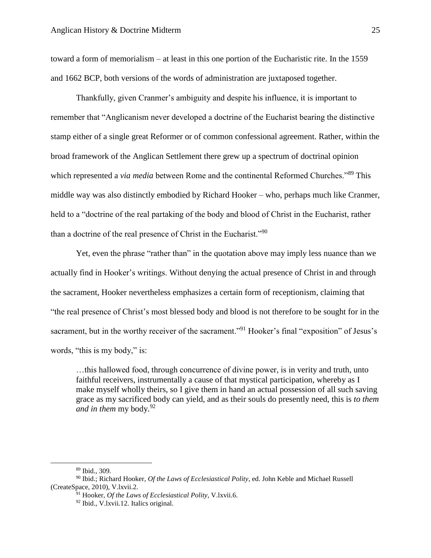toward a form of memorialism – at least in this one portion of the Eucharistic rite. In the 1559 and 1662 BCP, both versions of the words of administration are juxtaposed together.

Thankfully, given Cranmer's ambiguity and despite his influence, it is important to remember that "Anglicanism never developed a doctrine of the Eucharist bearing the distinctive stamp either of a single great Reformer or of common confessional agreement. Rather, within the broad framework of the Anglican Settlement there grew up a spectrum of doctrinal opinion which represented a *via media* between Rome and the continental Reformed Churches."<sup>89</sup> This middle way was also distinctly embodied by Richard Hooker – who, perhaps much like Cranmer, held to a "doctrine of the real partaking of the body and blood of Christ in the Eucharist, rather than a doctrine of the real presence of Christ in the Eucharist."<sup>90</sup>

Yet, even the phrase "rather than" in the quotation above may imply less nuance than we actually find in Hooker's writings. Without denying the actual presence of Christ in and through the sacrament, Hooker nevertheless emphasizes a certain form of receptionism, claiming that "the real presence of Christ's most blessed body and blood is not therefore to be sought for in the sacrament, but in the worthy receiver of the sacrament."<sup>91</sup> Hooker's final "exposition" of Jesus's words, "this is my body," is:

…this hallowed food, through concurrence of divine power, is in verity and truth, unto faithful receivers, instrumentally a cause of that mystical participation, whereby as I make myself wholly theirs, so I give them in hand an actual possession of all such saving grace as my sacrificed body can yield, and as their souls do presently need, this is *to them and in them* my body.<sup>92</sup>

<sup>89</sup> Ibid., 309.

<sup>90</sup> Ibid.; Richard Hooker, *Of the Laws of Ecclesiastical Polity*, ed. John Keble and Michael Russell (CreateSpace, 2010), V.lxvii.2.

<sup>91</sup> Hooker, *Of the Laws of Ecclesiastical Polity*, V.lxvii.6.

<sup>92</sup> Ibid., V.lxvii.12. Italics original.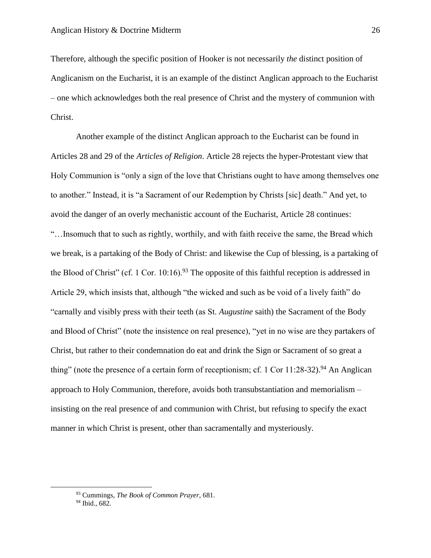Therefore, although the specific position of Hooker is not necessarily *the* distinct position of Anglicanism on the Eucharist, it is an example of the distinct Anglican approach to the Eucharist – one which acknowledges both the real presence of Christ and the mystery of communion with Christ.

Another example of the distinct Anglican approach to the Eucharist can be found in Articles 28 and 29 of the *Articles of Religion*. Article 28 rejects the hyper-Protestant view that Holy Communion is "only a sign of the love that Christians ought to have among themselves one to another." Instead, it is "a Sacrament of our Redemption by Christs [sic] death." And yet, to avoid the danger of an overly mechanistic account of the Eucharist, Article 28 continues: "…Insomuch that to such as rightly, worthily, and with faith receive the same, the Bread which we break, is a partaking of the Body of Christ: and likewise the Cup of blessing, is a partaking of the Blood of Christ" (cf. 1 Cor. 10:16).<sup>93</sup> The opposite of this faithful reception is addressed in Article 29, which insists that, although "the wicked and such as be void of a lively faith" do "carnally and visibly press with their teeth (as St. *Augustine* saith) the Sacrament of the Body and Blood of Christ" (note the insistence on real presence), "yet in no wise are they partakers of Christ, but rather to their condemnation do eat and drink the Sign or Sacrament of so great a thing" (note the presence of a certain form of receptionism; cf. 1 Cor 11:28-32).<sup>94</sup> An Anglican approach to Holy Communion, therefore, avoids both transubstantiation and memorialism – insisting on the real presence of and communion with Christ, but refusing to specify the exact manner in which Christ is present, other than sacramentally and mysteriously.

<sup>93</sup> Cummings, *The Book of Common Prayer*, 681.

 $94$  Ibid., 682.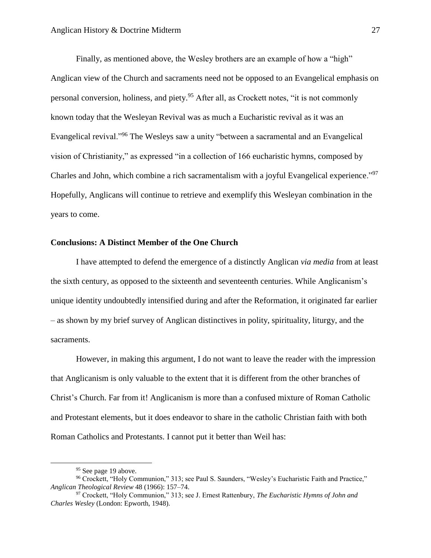Finally, as mentioned above, the Wesley brothers are an example of how a "high" Anglican view of the Church and sacraments need not be opposed to an Evangelical emphasis on personal conversion, holiness, and piety.<sup>95</sup> After all, as Crockett notes, "it is not commonly known today that the Wesleyan Revival was as much a Eucharistic revival as it was an Evangelical revival."<sup>96</sup> The Wesleys saw a unity "between a sacramental and an Evangelical vision of Christianity," as expressed "in a collection of 166 eucharistic hymns, composed by Charles and John, which combine a rich sacramentalism with a joyful Evangelical experience."<sup>97</sup> Hopefully, Anglicans will continue to retrieve and exemplify this Wesleyan combination in the years to come.

#### **Conclusions: A Distinct Member of the One Church**

I have attempted to defend the emergence of a distinctly Anglican *via media* from at least the sixth century, as opposed to the sixteenth and seventeenth centuries. While Anglicanism's unique identity undoubtedly intensified during and after the Reformation, it originated far earlier – as shown by my brief survey of Anglican distinctives in polity, spirituality, liturgy, and the sacraments.

However, in making this argument, I do not want to leave the reader with the impression that Anglicanism is only valuable to the extent that it is different from the other branches of Christ's Church. Far from it! Anglicanism is more than a confused mixture of Roman Catholic and Protestant elements, but it does endeavor to share in the catholic Christian faith with both Roman Catholics and Protestants. I cannot put it better than Weil has:

<sup>&</sup>lt;sup>95</sup> See page 19 above.

<sup>96</sup> Crockett, "Holy Communion," 313; see Paul S. Saunders, "Wesley's Eucharistic Faith and Practice," *Anglican Theological Review* 48 (1966): 157–74.

<sup>97</sup> Crockett, "Holy Communion," 313; see J. Ernest Rattenbury, *The Eucharistic Hymns of John and Charles Wesley* (London: Epworth, 1948).